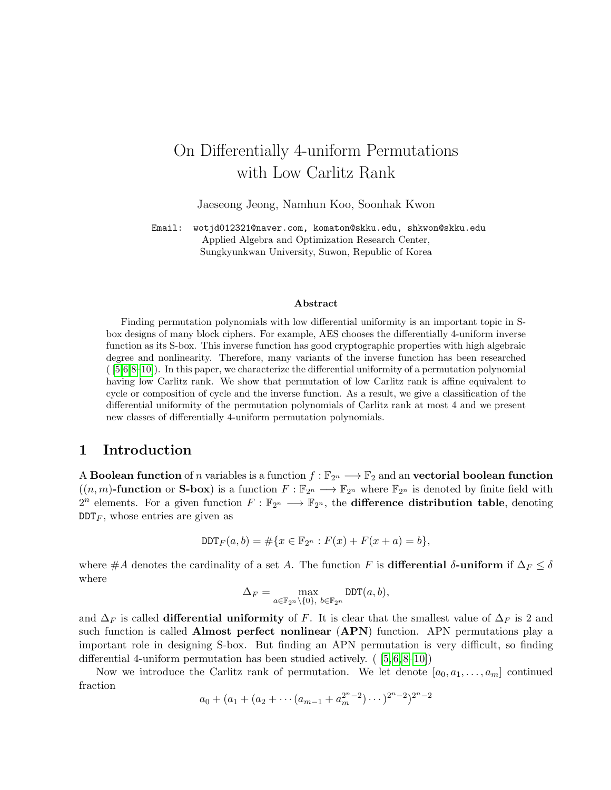# On Differentially 4-uniform Permutations with Low Carlitz Rank

Jaeseong Jeong, Namhun Koo, Soonhak Kwon

Email: wotjd012321@naver.com, komaton@skku.edu, shkwon@skku.edu Applied Algebra and Optimization Research Center, Sungkyunkwan University, Suwon, Republic of Korea

#### Abstract

Finding permutation polynomials with low differential uniformity is an important topic in Sbox designs of many block ciphers. For example, AES chooses the differentially 4-uniform inverse function as its S-box. This inverse function has good cryptographic properties with high algebraic degree and nonlinearity. Therefore, many variants of the inverse function has been researched  $([5,6,8-10])$  $([5,6,8-10])$  $([5,6,8-10])$  $([5,6,8-10])$  $([5,6,8-10])$  $([5,6,8-10])$ . In this paper, we characterize the differential uniformity of a permutation polynomial having low Carlitz rank. We show that permutation of low Carlitz rank is affine equivalent to cycle or composition of cycle and the inverse function. As a result, we give a classification of the differential uniformity of the permutation polynomials of Carlitz rank at most 4 and we present new classes of differentially 4-uniform permutation polynomials.

# 1 Introduction

A Boolean function of n variables is a function  $f : \mathbb{F}_{2^n} \longrightarrow \mathbb{F}_2$  and an vectorial boolean function  $((n, m)$ -function or S-box) is a function  $F : \mathbb{F}_{2^n} \longrightarrow \mathbb{F}_{2^n}$  where  $\mathbb{F}_{2^n}$  is denoted by finite field with 2<sup>n</sup> elements. For a given function  $F: \mathbb{F}_{2^n} \longrightarrow \mathbb{F}_{2^n}$ , the **difference distribution table**, denoting  $DDT<sub>F</sub>$ , whose entries are given as

$$
DDT_F(a, b) = #\{x \in \mathbb{F}_{2^n} : F(x) + F(x + a) = b\},\
$$

where #A denotes the cardinality of a set A. The function F is **differential**  $\delta$ -uniform if  $\Delta_F \leq \delta$ where

$$
\Delta_F = \max_{a \in \mathbb{F}_{2^n} \backslash \{0\}, \ b \in \mathbb{F}_{2^n}} \text{DDT}(a, b),
$$

and  $\Delta_F$  is called **differential uniformity** of F. It is clear that the smallest value of  $\Delta_F$  is 2 and such function is called **Almost perfect nonlinear** (**APN**) function. APN permutations play a important role in designing S-box. But finding an APN permutation is very difficult, so finding differential 4-uniform permutation has been studied actively.  $([5, 6, 8-10])$  $([5, 6, 8-10])$  $([5, 6, 8-10])$  $([5, 6, 8-10])$  $([5, 6, 8-10])$  $([5, 6, 8-10])$ 

Now we introduce the Carlitz rank of permutation. We let denote  $[a_0, a_1, \ldots, a_m]$  continued fraction

$$
a_0 + (a_1 + (a_2 + \cdots + (a_{m-1} + a_m^{2n-2}) \cdots)^{2n-2})^{2n-2}
$$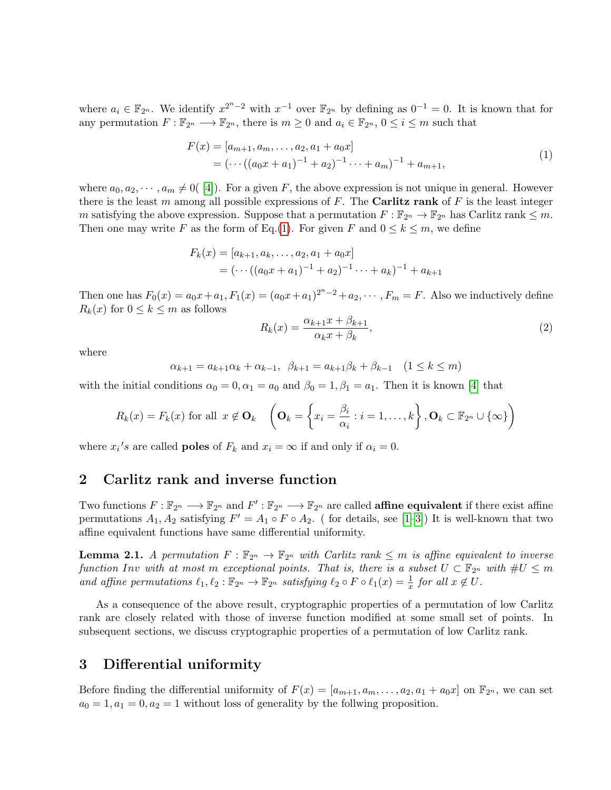where  $a_i \in \mathbb{F}_{2^n}$ . We identify  $x^{2^n-2}$  with  $x^{-1}$  over  $\mathbb{F}_{2^n}$  by defining as  $0^{-1} = 0$ . It is known that for any permutation  $F : \mathbb{F}_{2^n} \longrightarrow \mathbb{F}_{2^n}$ , there is  $m \geq 0$  and  $a_i \in \mathbb{F}_{2^n}$ ,  $0 \leq i \leq m$  such that

<span id="page-1-0"></span>
$$
F(x) = [a_{m+1}, a_m, \dots, a_2, a_1 + a_0x]
$$
  
=  $( \dots ((a_0x + a_1)^{-1} + a_2)^{-1} \dots + a_m)^{-1} + a_{m+1},$  (1)

where  $a_0, a_2, \dots, a_m \neq 0$  (4). For a given F, the above expression is not unique in general. However there is the least m among all possible expressions of  $F$ . The **Carlitz rank** of  $F$  is the least integer m satisfying the above expression. Suppose that a permutation  $F : \mathbb{F}_{2^n} \to \mathbb{F}_{2^n}$  has Carlitz rank  $\leq m$ . Then one may write F as the form of Eq.[\(1\)](#page-1-0). For given F and  $0 \leq k \leq m$ , we define

$$
F_k(x) = [a_{k+1}, a_k, \dots, a_2, a_1 + a_0x]
$$
  
=  $(\dots((a_0x + a_1)^{-1} + a_2)^{-1} \dots + a_k)^{-1} + a_{k+1}$ 

Then one has  $F_0(x) = a_0x + a_1, F_1(x) = (a_0x + a_1)^{2^n - 2} + a_2, \dots, F_m = F$ . Also we inductively define  $R_k(x)$  for  $0 \leq k \leq m$  as follows

$$
R_k(x) = \frac{\alpha_{k+1}x + \beta_{k+1}}{\alpha_k x + \beta_k},\tag{2}
$$

where

$$
\alpha_{k+1} = a_{k+1}\alpha_k + \alpha_{k-1}, \ \ \beta_{k+1} = a_{k+1}\beta_k + \beta_{k-1} \quad (1 \le k \le m)
$$

with the initial conditions  $\alpha_0 = 0, \alpha_1 = a_0$  and  $\beta_0 = 1, \beta_1 = a_1$ . Then it is known [\[4\]](#page-6-4) that

$$
R_k(x) = F_k(x) \text{ for all } x \notin \mathbf{O}_k \quad \left(\mathbf{O}_k = \left\{x_i = \frac{\beta_i}{\alpha_i} : i = 1, \dots, k\right\}, \mathbf{O}_k \subset \mathbb{F}_{2^n} \cup \{\infty\}\right)
$$

where  $x_i$ 's are called **poles** of  $F_k$  and  $x_i = \infty$  if and only if  $\alpha_i = 0$ .

#### 2 Carlitz rank and inverse function

Two functions  $F: \mathbb{F}_{2^n} \longrightarrow \mathbb{F}_{2^n}$  and  $F': \mathbb{F}_{2^n} \longrightarrow \mathbb{F}_{2^n}$  are called **affine equivalent** if there exist affine permutations  $A_1, A_2$  satisfying  $F' = A_1 \circ F \circ A_2$ . (for details, see [\[1](#page-6-5)[–3\]](#page-6-6)) It is well-known that two affine equivalent functions have same differential uniformity.

**Lemma 2.1.** A permutation  $F : \mathbb{F}_{2^n} \to \mathbb{F}_{2^n}$  with Carlitz rank  $\leq m$  is affine equivalent to inverse function Inv with at most m exceptional points. That is, there is a subset  $U \subset \mathbb{F}_{2^n}$  with  $\#U \leq m$ and affine permutations  $\ell_1, \ell_2 : \mathbb{F}_{2^n} \to \mathbb{F}_{2^n}$  satisfying  $\ell_2 \circ F \circ \ell_1(x) = \frac{1}{x}$  for all  $x \notin U$ .

As a consequence of the above result, cryptographic properties of a permutation of low Carlitz rank are closely related with those of inverse function modified at some small set of points. In subsequent sections, we discuss cryptographic properties of a permutation of low Carlitz rank.

# 3 Differential uniformity

Before finding the differential uniformity of  $F(x) = [a_{m+1}, a_m, \ldots, a_2, a_1 + a_0x]$  on  $\mathbb{F}_{2^n}$ , we can set  $a_0 = 1, a_1 = 0, a_2 = 1$  without loss of generality by the follwing proposition.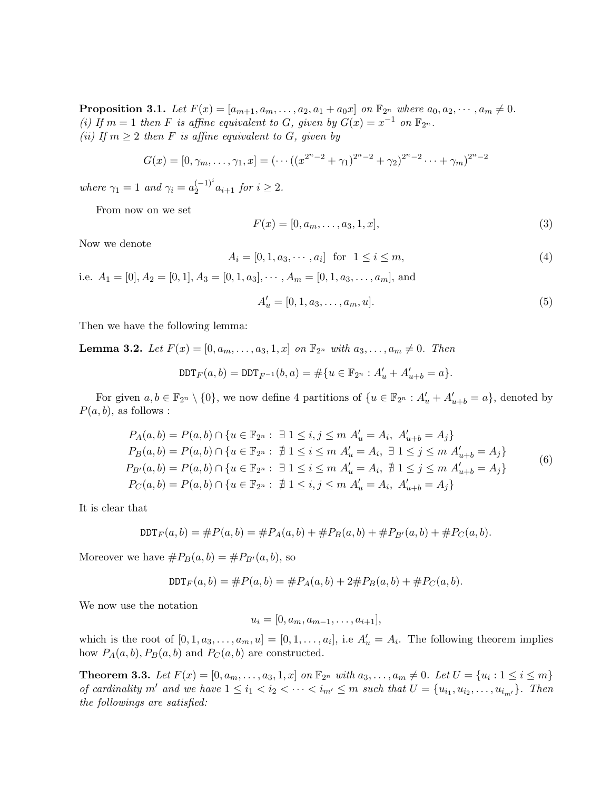**Proposition 3.1.** Let  $F(x) = [a_{m+1}, a_m, \ldots, a_2, a_1 + a_0x]$  on  $\mathbb{F}_{2^n}$  where  $a_0, a_2, \cdots, a_m \neq 0$ . (i) If  $m = 1$  then F is affine equivalent to G, given by  $G(x) = x^{-1}$  on  $\mathbb{F}_{2^n}$ . (ii) If  $m \geq 2$  then F is affine equivalent to G, given by

$$
G(x) = [0, \gamma_m, \dots, \gamma_1, x] = (\dots + (x^{2^{n}-2} + \gamma_1)^{2^{n}-2} + \gamma_2)^{2^{n}-2} \dots + \gamma_m)^{2^{n}-2}
$$

where  $\gamma_1 = 1$  and  $\gamma_i = a_2^{(-1)^i}$  $2^{(-1)^{i}} a_{i+1}$  for  $i \geq 2$ .

From now on we set

<span id="page-2-0"></span>
$$
F(x) = [0, a_m, \dots, a_3, 1, x],
$$
\n(3)

Now we denote

$$
A_i = [0, 1, a_3, \cdots, a_i] \text{ for } 1 \le i \le m,
$$
\n(4)

i.e.  $A_1 = [0], A_2 = [0, 1], A_3 = [0, 1, a_3], \cdots, A_m = [0, 1, a_3, \ldots, a_m],$  and

$$
A'_u = [0, 1, a_3, \dots, a_m, u].
$$
\n(5)

Then we have the following lemma:

**Lemma 3.2.** Let  $F(x) = [0, a_m, \ldots, a_3, 1, x]$  on  $\mathbb{F}_{2^n}$  with  $a_3, \ldots, a_m \neq 0$ . Then

$$
\text{DDT}_F(a,b) = \text{DDT}_{F^{-1}}(b,a) = \#\{u \in \mathbb{F}_{2^n} : A'_u + A'_{u+b} = a\}.
$$

For given  $a, b \in \mathbb{F}_{2^n} \setminus \{0\}$ , we now define 4 partitions of  $\{u \in \mathbb{F}_{2^n} : A'_u + A'_{u+b} = a\}$ , denoted by  $P(a, b)$ , as follows :

$$
P_A(a, b) = P(a, b) \cap \{u \in \mathbb{F}_{2^n} : \exists 1 \le i, j \le m \ A'_u = A_i, \ A'_{u+b} = A_j\}
$$
  
\n
$$
P_B(a, b) = P(a, b) \cap \{u \in \mathbb{F}_{2^n} : \nexists 1 \le i \le m \ A'_u = A_i, \exists 1 \le j \le m \ A'_{u+b} = A_j\}
$$
  
\n
$$
P_{B'}(a, b) = P(a, b) \cap \{u \in \mathbb{F}_{2^n} : \exists 1 \le i \le m \ A'_u = A_i, \nexists 1 \le j \le m \ A'_{u+b} = A_j\}
$$
  
\n
$$
P_C(a, b) = P(a, b) \cap \{u \in \mathbb{F}_{2^n} : \nexists 1 \le i, j \le m \ A'_u = A_i, \ A'_{u+b} = A_j\}
$$
  
\n(6)

It is clear that

$$
DDT_F(a,b) = \#P(a,b) = \#P_A(a,b) + \#P_B(a,b) + \#P_{B'}(a,b) + \#P_C(a,b).
$$

Moreover we have  $\#P_B(a, b) = \#P_{B'}(a, b)$ , so

$$
DDT_F(a,b) = \#P(a,b) = \#P_A(a,b) + 2\#P_B(a,b) + \#P_C(a,b).
$$

We now use the notation

$$
u_i = [0, a_m, a_{m-1}, \dots, a_{i+1}],
$$

which is the root of  $[0, 1, a_3, \ldots, a_m, u] = [0, 1, \ldots, a_i]$ , i.e  $A'_u = A_i$ . The following theorem implies how  $P_A(a, b), P_B(a, b)$  and  $P_C(a, b)$  are constructed.

<span id="page-2-1"></span>**Theorem 3.3.** Let  $F(x) = [0, a_m, \ldots, a_3, 1, x]$  on  $\mathbb{F}_{2^n}$  with  $a_3, \ldots, a_m \neq 0$ . Let  $U = \{u_i : 1 \leq i \leq m\}$ of cardinality m' and we have  $1 \leq i_1 < i_2 < \cdots < i_{m'} \leq m$  such that  $U = \{u_{i_1}, u_{i_2}, \ldots, u_{i_{m'}}\}$ . Then the followings are satisfied: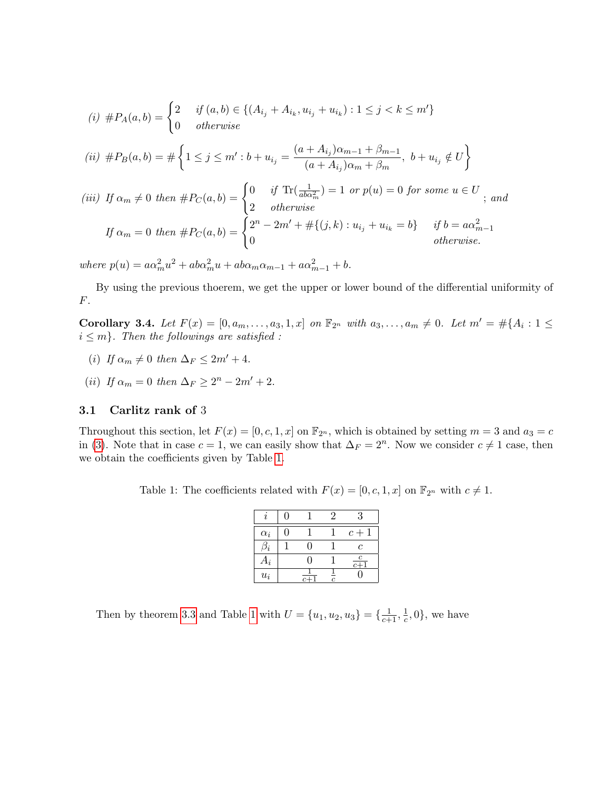(i) 
$$
\#P_A(a, b) = \begin{cases} 2 & \text{if } (a, b) \in \{ (A_{i_j} + A_{i_k}, u_{i_j} + u_{i_k}) : 1 \leq j < k \leq m' \} \\ 0 & \text{otherwise} \end{cases}
$$
  
\n(ii)  $\#P_B(a, b) = \# \begin{cases} 1 \leq j \leq m' : b + u_{i_j} = \frac{(a + A_{i_j})\alpha_{m-1} + \beta_{m-1}}{(a + A_{i_j})\alpha_m + \beta_m}, \ b + u_{i_j} \notin U \end{cases}$   
\n(iii) If  $\alpha_m \neq 0$  then  $\#P_C(a, b) = \begin{cases} 0 & \text{if } \text{Tr}(\frac{1}{aba_m^2}) = 1 \text{ or } p(u) = 0 \text{ for some } u \in U \\ 2 & \text{otherwise} \end{cases}$ ; and  
\nIf  $\alpha_m = 0$  then  $\#P_C(a, b) = \begin{cases} 2^n - 2m' + \# \{(j, k) : u_{i_j} + u_{i_k} = b\} & \text{if } b = a\alpha_{m-1}^2 \\ 0 & \text{otherwise.} \end{cases}$ 

where  $p(u) = a\alpha_m^2 u^2 + ab\alpha_m^2 u + ab\alpha_m\alpha_{m-1} + a\alpha_{m-1}^2 + b.$ 

By using the previous thoerem, we get the upper or lower bound of the differential uniformity of F.

**Corollary 3.4.** Let  $F(x) = [0, a_m, \ldots, a_3, 1, x]$  on  $\mathbb{F}_{2^n}$  with  $a_3, \ldots, a_m \neq 0$ . Let  $m' = \#\{A_i : 1 \leq i \leq m\}$  $i \leq m$ . Then the followings are satisfied :

- (i) If  $\alpha_m \neq 0$  then  $\Delta_F \leq 2m' + 4$ .
- (ii) If  $\alpha_m = 0$  then  $\Delta_F \geq 2^n 2m' + 2$ .

#### 3.1 Carlitz rank of 3

Throughout this section, let  $F(x) = [0, c, 1, x]$  on  $\mathbb{F}_{2^n}$ , which is obtained by setting  $m = 3$  and  $a_3 = c$ in [\(3\)](#page-2-0). Note that in case  $c = 1$ , we can easily show that  $\Delta_F = 2^n$ . Now we consider  $c \neq 1$  case, then we obtain the coefficients given by Table [1.](#page-3-0)

<span id="page-3-0"></span>Table 1: The coefficients related with  $F(x) = [0, c, 1, x]$  on  $\mathbb{F}_{2^n}$  with  $c \neq 1$ .

|            | O | $\mathcal{D}_{\mathcal{L}}$ | 3               |
|------------|---|-----------------------------|-----------------|
| $\alpha_i$ |   |                             | $c+1$           |
|            |   |                             | C               |
| $A_i$      |   |                             | $\bf c$<br>$c+$ |
| $u_i$      |   | $\overline{c}$              |                 |

Then by theorem [3.3](#page-2-1) and Table [1](#page-3-0) with  $U = \{u_1, u_2, u_3\} = \{\frac{1}{c+1}, \frac{1}{c}\}$  $\frac{1}{c}, 0$ , we have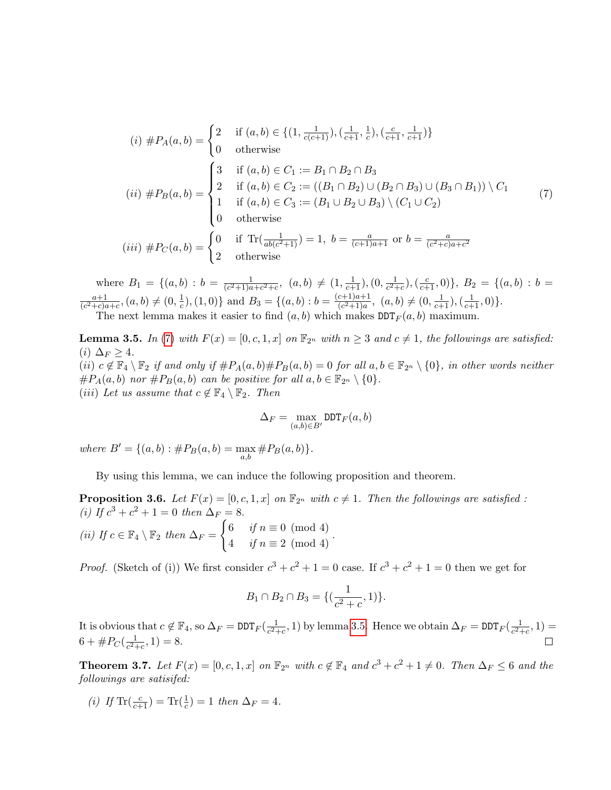<span id="page-4-0"></span>
$$
(i) \#P_A(a,b) = \begin{cases} 2 & \text{if } (a,b) \in \{ (1, \frac{1}{c(c+1)}), (\frac{1}{c+1}, \frac{1}{c}), (\frac{c}{c+1}, \frac{1}{c+1}) \} \\ 0 & \text{otherwise} \end{cases}
$$
  
\n
$$
(ii) \#P_B(a,b) = \begin{cases} 3 & \text{if } (a,b) \in C_1 := B_1 \cap B_2 \cap B_3 \\ 2 & \text{if } (a,b) \in C_2 := ((B_1 \cap B_2) \cup (B_2 \cap B_3) \cup (B_3 \cap B_1)) \setminus C_1 \\ 1 & \text{if } (a,b) \in C_3 := (B_1 \cup B_2 \cup B_3) \setminus (C_1 \cup C_2) \\ 0 & \text{otherwise} \end{cases}
$$
  
\n
$$
(iii) \#P_C(a,b) = \begin{cases} 0 & \text{if } \text{Tr}(\frac{1}{ab(c^2+1)}) = 1, \ b = \frac{a}{(c+1)a+1} \text{ or } b = \frac{a}{(c^2+c)a+c^2} \\ 2 & \text{otherwise} \end{cases}
$$
  
\n(7)

where  $B_1 = \{(a, b) : b = \frac{1}{(c^2+1)a}$  $\frac{1}{(c^2+1)a+c^2+c}$ ,  $(a,b) \neq (1,\frac{1}{c+1}), (0,\frac{1}{c^2+1})$  $\frac{1}{c^2+c}$ ,  $(\frac{c}{c+1},0)$ ,  $B_2 = \{(a,b) : b =$  $a+1$  $\frac{a+1}{(c^2+c)a+c}$ ,  $(a,b) \neq (0, \frac{1}{c})$  $(\frac{1}{c}), (1, 0)$ } and  $B_3 = \{(a, b) : b = \frac{(c+1)a+1}{(c^2+1)a}$  $\frac{c+1)a+1}{(c^2+1)a}$ ,  $(a,b) \neq (0, \frac{1}{c+1}), (\frac{1}{c+1}, 0)$ . The next lemma makes it easier to find  $(a, b)$  which makes  $DDT<sub>F</sub>(a, b)$  maximum.

<span id="page-4-1"></span>**Lemma 3.5.** In [\(7\)](#page-4-0) with  $F(x) = [0, c, 1, x]$  on  $\mathbb{F}_{2^n}$  with  $n \geq 3$  and  $c \neq 1$ , the followings are satisfied: (*i*)  $\Delta_F \geq 4$ . (ii)  $c \notin \mathbb{F}_4 \setminus \mathbb{F}_2$  if and only if  $\#P_A(a, b) \#P_B(a, b) = 0$  for all  $a, b \in \mathbb{F}_{2^n} \setminus \{0\}$ , in other words neither  $\#P_A(a, b)$  nor  $\#P_B(a, b)$  can be positive for all  $a, b \in \mathbb{F}_{2^n} \setminus \{0\}.$ (iii) Let us assume that  $c \notin \mathbb{F}_4 \setminus \mathbb{F}_2$ . Then

$$
\Delta_F = \max_{(a,b) \in B'} \mathtt{DDT}_F(a,b)
$$

where  $B' = \{(a, b) : #P_B(a, b) = \max_{a, b} #P_B(a, b)\}.$ 

By using this lemma, we can induce the following proposition and theorem.

**Proposition 3.6.** Let  $F(x) = [0, c, 1, x]$  on  $\mathbb{F}_{2^n}$  with  $c \neq 1$ . Then the followings are satisfied : (i) If  $c^3 + c^2 + 1 = 0$  then  $\Delta_F = 8$ .

(ii) If 
$$
c \in \mathbb{F}_4 \setminus \mathbb{F}_2
$$
 then  $\Delta_F = \begin{cases} 6 & \text{if } n \equiv 0 \pmod{4} \\ 4 & \text{if } n \equiv 2 \pmod{4} \end{cases}$ .

*Proof.* (Sketch of (i)) We first consider  $c^3 + c^2 + 1 = 0$  case. If  $c^3 + c^2 + 1 = 0$  then we get for

$$
B_1 \cap B_2 \cap B_3 = \{(\frac{1}{c^2+c}, 1)\}.
$$

It is obvious that  $c \notin \mathbb{F}_4$ , so  $\Delta_F = \text{DDT}_F(\frac{1}{c^2+1})$  $\frac{1}{c^2+c}$ , 1) by lemma [3.5.](#page-4-1) Hence we obtain  $\Delta_F = \text{DDT}_F(\frac{1}{c^2+c})$  $\frac{1}{c^2+c}$ , 1) =  $6 + \#P_{C}(\frac{1}{c^{2}+1})$  $\frac{1}{c^2+c}$ , 1) = 8.

<span id="page-4-2"></span>**Theorem 3.7.** Let  $F(x) = [0, c, 1, x]$  on  $\mathbb{F}_{2^n}$  with  $c \notin \mathbb{F}_4$  and  $c^3 + c^2 + 1 \neq 0$ . Then  $\Delta_F \leq 6$  and the followings are satisifed:

(*i*) If  $\text{Tr}(\frac{c}{c+1}) = \text{Tr}(\frac{1}{c}) = 1$  then  $\Delta_F = 4$ .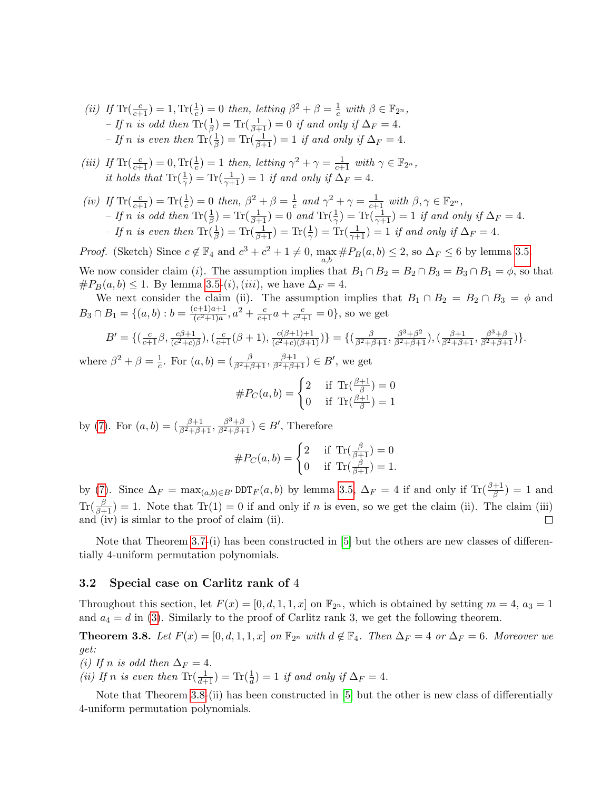- (ii) If  $\text{Tr}(\frac{c}{c+1}) = 1$ ,  $\text{Tr}(\frac{1}{c}) = 0$  then, letting  $\beta^2 + \beta = \frac{1}{c}$  $\frac{1}{c}$  with  $\beta \in \mathbb{F}_{2^n}$ , - If n is odd then  $\text{Tr}(\frac{1}{\beta}) = \text{Tr}(\frac{1}{\beta+1}) = 0$  if and only if  $\Delta_F = 4$ . - If n is even then  $\text{Tr}(\frac{1}{\beta}) = \text{Tr}(\frac{1}{\beta+1}) = 1$  if and only if  $\Delta_F = 4$ .
- (iii) If  $\text{Tr}(\frac{c}{c+1}) = 0$ ,  $\text{Tr}(\frac{1}{c}) = 1$  then, letting  $\gamma^2 + \gamma = \frac{1}{c+1}$  with  $\gamma \in \mathbb{F}_{2^n}$ , it holds that  $\text{Tr}(\frac{1}{\gamma}) = \text{Tr}(\frac{1}{\gamma+1}) = 1$  if and only if  $\Delta_F = 4$ .
- (iv) If  $\text{Tr}(\frac{c}{c+1}) = \text{Tr}(\frac{1}{c}) = 0$  then,  $\beta^2 + \beta = \frac{1}{c}$  $\frac{1}{c}$  and  $\gamma^2 + \gamma = \frac{1}{c+1}$  with  $\beta, \gamma \in \mathbb{F}_{2^n}$ , - If n is odd then  $\text{Tr}(\frac{1}{\beta}) = \text{Tr}(\frac{1}{\beta+1}) = 0$  and  $\text{Tr}(\frac{1}{\gamma}) = \text{Tr}(\frac{1}{\gamma+1}) = 1$  if and only if  $\Delta_F = 4$ . - If n is even then  $\text{Tr}(\frac{1}{\beta}) = \text{Tr}(\frac{1}{\beta+1}) = \text{Tr}(\frac{1}{\gamma}) = \text{Tr}(\frac{1}{\gamma+1}) = 1$  if and only if  $\Delta_F = 4$ .

*Proof.* (Sketch) Since  $c \notin \mathbb{F}_4$  and  $c^3 + c^2 + 1 \neq 0$ ,  $\max_{a,b} \#P_B(a,b) \leq 2$ , so  $\Delta_F \leq 6$  by lemma [3.5.](#page-4-1) We now consider claim (i). The assumption implies that  $B_1 \cap B_2 = B_2 \cap B_3 = B_3 \cap B_1 = \phi$ , so that  $#P_B(a, b) \leq 1$ . By lemma [3.5-](#page-4-1)(*i*), (*iii*), we have  $\Delta_F = 4$ .

We next consider the claim (ii). The assumption implies that  $B_1 \cap B_2 = B_2 \cap B_3 = \phi$  and  $B_3 \cap B_1 = \{(a, b) : b = \frac{(c+1)a+1}{(c^2+1)a}$  $\frac{(c+1)a+1}{(c^2+1)a}$ ,  $a^2 + \frac{c}{c+1}a + \frac{c}{c^2-1}$  $\frac{c}{c^2+1} = 0$ , so we get

$$
B' = \{ (\frac{c}{c+1}\beta, \frac{c\beta+1}{(c^2+c)\beta}), (\frac{c}{c+1}(\beta+1), \frac{c(\beta+1)+1}{(c^2+c)(\beta+1)}) \} = \{ (\frac{\beta}{\beta^2+\beta+1}, \frac{\beta^3+\beta^2}{\beta^2+\beta+1}), (\frac{\beta+1}{\beta^2+\beta+1}, \frac{\beta^3+\beta}{\beta^2+\beta+1}) \}.
$$

where  $\beta^2 + \beta = \frac{1}{6}$ <sup>1</sup>/<sub>2</sub>. For  $(a, b) = (\frac{\beta}{\beta^2 + \beta + 1}, \frac{\beta + 1}{\beta^2 + \beta + 1}) \in B'$ , we get

$$
\#P_C(a,b) = \begin{cases} 2 & \text{if } \operatorname{Tr}(\frac{\beta+1}{\beta}) = 0\\ 0 & \text{if } \operatorname{Tr}(\frac{\beta+1}{\beta}) = 1 \end{cases}
$$

by [\(7\)](#page-4-0). For  $(a, b) = \left(\frac{\beta+1}{\beta^2+\beta+1}, \frac{\beta^3+\beta}{\beta^2+\beta+1}\right) \in B'$ , Therefore

$$
\#P_C(a,b) = \begin{cases} 2 & \text{if } \operatorname{Tr}(\frac{\beta}{\beta+1}) = 0 \\ 0 & \text{if } \operatorname{Tr}(\frac{\beta}{\beta+1}) = 1. \end{cases}
$$

by [\(7\)](#page-4-0). Since  $\Delta_F = \max_{(a,b)\in B'} \text{DDT}_F(a,b)$  by lemma [3.5,](#page-4-1)  $\Delta_F = 4$  if and only if  $\text{Tr}(\frac{\beta+1}{\beta}) = 1$  and  $\text{Tr}(\frac{\beta}{\beta+1}) = 1$ . Note that  $\text{Tr}(1) = 0$  if and only if n is even, so we get the claim (ii). The claim (iii) and (iv) is simlar to the proof of claim (ii).

Note that Theorem [3.7-](#page-4-2)(i) has been constructed in [\[5\]](#page-6-0) but the others are new classes of differentially 4-uniform permutation polynomials.

#### 3.2 Special case on Carlitz rank of 4

Throughout this section, let  $F(x) = [0, d, 1, 1, x]$  on  $\mathbb{F}_{2^n}$ , which is obtained by setting  $m = 4$ ,  $a_3 = 1$ and  $a_4 = d$  in [\(3\)](#page-2-0). Similarly to the proof of Carlitz rank 3, we get the following theorem.

<span id="page-5-0"></span>**Theorem 3.8.** Let  $F(x) = [0, d, 1, 1, x]$  on  $\mathbb{F}_{2^n}$  with  $d \notin \mathbb{F}_4$ . Then  $\Delta_F = 4$  or  $\Delta_F = 6$ . Moreover we get:

(i) If n is odd then  $\Delta_F = 4$ .

(ii) If n is even then  $\text{Tr}(\frac{1}{d+1}) = \text{Tr}(\frac{1}{d}) = 1$  if and only if  $\Delta_F = 4$ .

Note that Theorem [3.8-](#page-5-0)(ii) has been constructed in [\[5\]](#page-6-0) but the other is new class of differentially 4-uniform permutation polynomials.